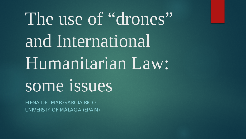# The use of "drones" and International Humanitarian Law: some issues

ELENA DEL MAR GARCIA RICO UNIVERSITY OF MÁLAGA (SPAIN)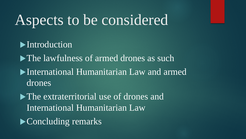### Aspects to be considered

**Introduction** 

lawfulness of armed drones as such

International Humanitarian Law and armed drones

• The extraterritorial use of drones and International Humanitarian Law

**Concluding remarks**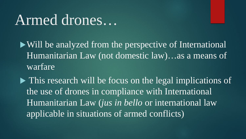### Armed drones…

Will be analyzed from the perspective of International Humanitarian Law (not domestic law)…as a means of warfare

• This research will be focus on the legal implications of the use of drones in compliance with International Humanitarian Law (*jus in bello* or international law applicable in situations of armed conflicts)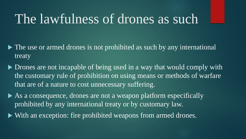#### The lawfulness of drones as such

- $\triangleright$  The use or armed drones is not prohibited as such by any international treaty
- Drones are not incapable of being used in a way that would comply with the customary rule of prohibition on using means or methods of warfare that are of a nature to cost unnecessary suffering.
- As a consequence, drones are not a weapon platform especifically prohibited by any international treaty or by customary law.
- With an exception: fire prohibited weapons from armed drones.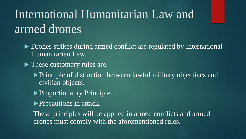### International Humanitarian Law and armed drones

- ▶ Drones strikes during armed conflict are regulated by International Humanitarian Law.
- These customary rules are:
	- Principle of distinction between lawful military objectives and civilian objects.
	- **Proportionality Principle.**
	- **Precautions in attack.**

These principles will be applied in armed conflicts and armed drones must comply with the aforementioned rules.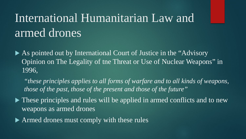#### International Humanitarian Law and armed drones

 As pointed out by International Court of Justice in the "Advisory Opinion on The Legality of tne Threat or Use of Nuclear Weapons" in 1996,

*"these principles applies to all forms of warfare and to all kinds of weapons, those of the past, those of the present and those of the future"*

 $\blacktriangleright$  These principles and rules will be applied in armed conflicts and to new weapons as armed drones

▶ Armed drones must comply with these rules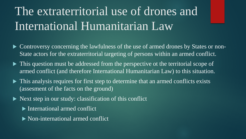### The extraterritorial use of drones and International Humanitarian Law

- Controversy concerning the lawfulness of the use of armed drones by States or non-State actors for the extraterritorial targeting of persons within an armed conflict.
- This question must be addressed from the perspective ot the territorial scope of armed conflict (and therefore International Humanitarian Law) to this situation.
- This analysis requires for first step to determine that an armed conflicts exists (assesment of the facts on the ground)
- Next step in our study: classification of this conflict
	- **International armed conflict**
	- Non-international armed conflict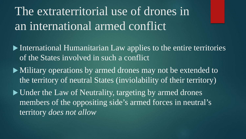The extraterritorial use of drones in an international armed conflict

- International Humanitarian Law applies to the entire territories of the States involved in such a conflict
- $\blacktriangleright$  Military operations by armed drones may not be extended to the territory of neutral States (inviolability of their territory)
- Under the Law of Neutrality, targeting by armed drones members of the oppositing side's armed forces in neutral's territory *does not allow*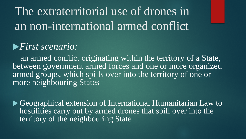#### The extraterritorial use of drones in an non-international armed conflict

#### *First scenario:*

an armed conflict originating within the territory of a State, between government armed forces and one or more organized armed groups, which spills over into the territory of one or more neighbouring States

 Geographical extension of International Humanitarian Law to hostilities carry out by armed drones that spill over into the territory of the neighbouring State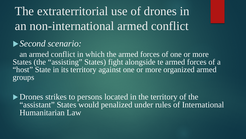### The extraterritorial use of drones in an non-international armed conflict

#### *Second scenario:*

an armed conflict in which the armed forces of one or more States (the "assisting" States) fight alongside te armed forces of a "host" State in its territory against one or more organized armed groups

Drones strikes to persons located in the territory of the "assistant" States would penalized under rules of International Humanitarian Law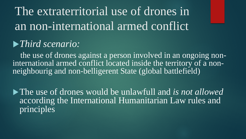The extraterritorial use of drones in an non-international armed conflict

#### *Third scenario:*

the use of drones against a person involved in an ongoing non-<br>international armed conflict located inside the territory of a non-<br>neighbourig and non-belligerent State (global battlefield)

The use of drones would be unlawfull and *is not allowed* according the International Humanitarian Law rules and principles